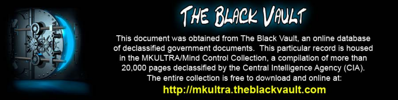

This document was obtained from The Black Vault, an online database of declassified government documents. This particular record is housed in the MKULTRA/Mind Control Collection, a compilation of more than 20,000 pages declassified by the Central Intelligence Agency (CIA). The entire collection is free to download and online at: http://mkultra.theblackvault.com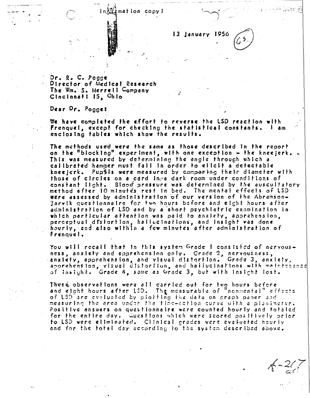la邂逅mation copy)

13 January

 $Dr_* R_* C_* Pogg$ Director of Medical Research The Wm. S. Merrell Company Cincinnati 15, Chio

Dear Dr. Pogget

We have completed the effort to reverse the LSD reaction with Frenquel, except for checking the statistical constants. l am enclosing tables which show the results.

The methods used were the same as those described in the report on the "blocking" experiment, with one exception - the kneejerk. This was measured by determining the angle through which a calibrated hammer must fall in order to elicit a detectable kneejerk. Pupfis were measured by comparing their diameter with those of circles on a card lays dark room under conditions of constant light. Blood pressure was determined by the auscultatory method after 10 minutes rest in bed. The mental effects of LSD were assessed by administration of our version of the Abramson-Jarvik questionnalre for two hours before and elght hours after administration of LSD and by a short psychiatric examination in which particular attention was paid to anxiety, apprahension, perceptual distortion, hallucinations, and insight was done hourly, and also within a few minutes after administration of Frenquel.

You will recalf that in this system Grade I consisted of nervousness, anxiety and apprehension only. Grade 2, nervousness, canxtety, apprehension, and visual distortion. Grade 3, anxiety, apprehension, visual distortion, and hallucinations with meinfraance of Insight. Grade 4, same as Grade 3, but with insight lost.

These observations were all carried out for two hours before and elght hours after LSD. The measurable of "nonmental" effects of LSD are evaluated by plotting the data on graph paper and measuring the area under the fime-action curve with a planimeter. Positive answers on questionnalre were counted hourly and totaled for the entire day. Cuastions which were scored positively prior to LSD were eliminated. Clinical grades were evaluated hourly and for the total day according to the system described above.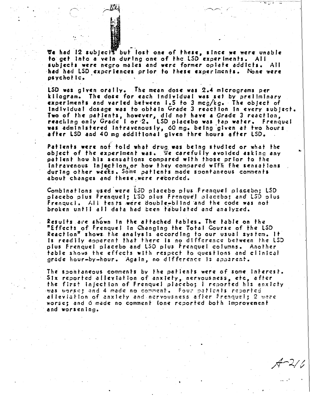We had 12 subjects but lost one of these, since we were unable to get into a vein during one of the LSD experiments. All subjects were negro males and were former opiate addicts. All had had LSD experiences prior to these experiments. None were osvchotic.

LSD was given orally. The mean dose was 2.4 micrograms per kilogram. The dose for each individual was set by preliminary experiments and varied between 1.5 to 3 mcg/kg. The object of Individual dosage was to obtain Grade 3 reaction in every subject. Two of the patients, however, did not have a Grade 3 reaction,<br>reaching only Grade I or 2. LSD placebo was tap water. Frenquel was administered intravenously, 60 mg. being given at two hours after LSD and 40 mg additional given thre hours after LSD.

Patients were not told what drug was being studied or what the object of the experiment was. We carefully avoided asking any patient how his sensations compared with those prior to the Intravenous Injection, or how they compared with the sensations during other weeks. Some patients made spontaneous comments about changes and these were recorded.

Combinations used were LSD placebo plus frenquel placebo: LSD placebo plus Frenquel: ISD plus Frenquel placebo; and L5D plus Frenquel. All tests were double-bilind and the code was not broken until all data had been tabulated and analyzed.

Results are shown in the attached tables. The table on the "Effects of Frenquel In Changing the Total Course of the LSD Reaction<sup>y</sup> shows the analysis according to our usual system. It Is readily apparent that there is no difference between the LSD plus Frenquel placebo and LSD plus Frenquel columns. Another table shows the effects with respect to questions and clinical grade hour-by-hour. Again, no difference is apparent.

The spontaneous comments by the patients were of some interest.<br>Six reported alleviation of anxiety, nervousness, etc, after the first injection of Frenquel placebo; I reported his enxicty was worset and 4 made no comment. Four patients reported alleviation of anxiety and nervousness after Frenquel: 2 were worset and 6 made no comment lone reported both improvement and worsening.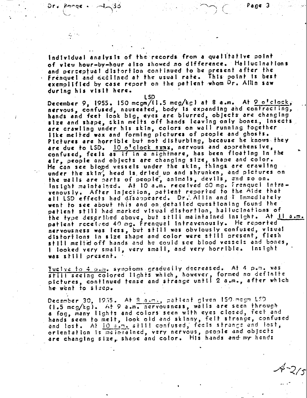Page 3

 $4 - 2/5$ 

Individual analysis of the records from a qualitative point of view hour-by-hour also showed no difference. Hallucinations and perceptual distortion continued to be present after the Frenquel and declined at the usual rate. This point is best exemplified by case report on the patient whom Dr. Allin saw during his visit here.

L SD December 9, 1955. 150 mcgm/(1.5 mcg/kg) at 8 a.m. At <u>9 ofclock</u>, nervous, confused, nauseated, body is expanding and contracting, hands and feet look big, eyes are blurred, objects are changing<br>size and shape, skin melts off hands leaving only bones, insects are crawling under his skin, colors on wall running fogether like melted wax and forming pictures of people and ghosts. Pictures are horrible but not disturbing, because he knows they are due to LSD. 10 o'clock axmx, nervous and apprehensive, confused, feels as if in a nightmare, has been floating in the air, people and objects are changing size, shape and color. He can see blood vessels under the skin, things are crawling under the sking head is dried up and shrunken, and pictures on the walls are parts of people, animals, devils, and so on. Insight maintained. At 10 a.m. received 60 mg. Frenquel Intra-<br>venously. After Injection, patient reported to the Aide that all LSD effects had disappeared. Dr. Allin and I immediately went to see about this and on detailed questioning found the pattent still had marked visual distortion, hallucinations of the type described above, but still maintained insight. At 11 a.m. patient received 40 mg. Frenquel intravenously. He reported nervousness was less, but still was obviously confused, visual distortions in size shape and color were still present, flesh still melte off hands and he could see blood vessels and bones, I looked very small, very small, and very horrible. Insight was shill present.

Twelve to 4 page symptoms gradually decreased. At 4 pame was still seeing colored lights which, however, formed no definite pictures, continued tense and strange until 2 a.m., after which he went to sizep.

December 30, 1955. At 8 asms, pattent given 150 mogm LSD. (1.5 mcg/kg). At 9 a.m. nervousness, walls are seen through a fog, many lights and colors seen with eyes closed, feet and hands seem to melt, look old and skinny, felt strange, confused and lost. At 10 a.m. still confused, feels strange and lost, ortentation is maintained, very nervous, people and objects are changing size, shape and color. His hands and my hands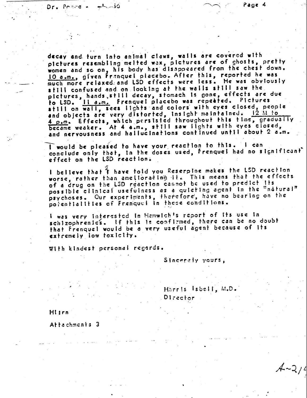decay and furn into animal claws, walls are covered with pictures resembling melted wax, pictures are of ghosts, pretty women and so on, his body has disappeared from the chest down. 10 a.m., given Franquel placebo. After this, reported he was much more relaxed and LSD effects were less. He was obviously still confused and on looking at the walls still saw the pictures, hands, still decay, stomach is gone, effects are due to LSD. Il a.m. Frenquel placebo was repeated. Pictures still on wall, sees lights and colors with eyes closed, people and objects are very distorted, insight maintained. 12 M to 4 p.m. Effects, which persisted throughout this time, gradually became weaker. At 4 a.m., still saw lights with eyes closed, and nervousness and hallucinations continued until about 2 a.m.

I would be pleased to have your reaction to this. I can conclude only that, in the doses used, frenquel had no significant effect on the LSD reaction.

I believe that 't have told you Reserpine makes the LSD reaction worse, rather than ameliorating it. This means that the effects possible clinical usefulness as a quieting agent in the "natural" psychoses. Our experiments, therefore, have no bearing on the potentialities of Frenquel in these conditions.

I was very interested in Hemwichts report of its use in schizophrenics. If this is confirmed, there can be no doubt that Frenquel would be a very useful agent because of Its extremely low toxicity.

With kindest personal regards.

Sincerely yours,

Hhrris Isbell, M.D. Director

Hitrn

Dr. Prove-

5ذہبا

Attachments 3

 $4 - 214$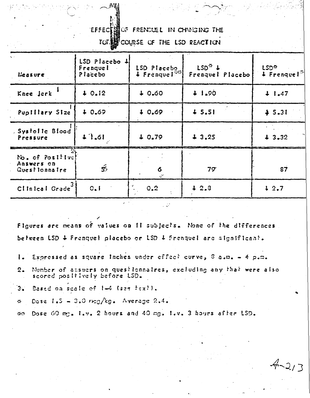**EFFECT SOF FRENCUEL IN CHANGING THE** 

**TOT.EN** COURSE OF THE LSD REACTION

| $\mathbf{q}$ .<br>Measure                       | LSD Placebo 4<br>Frenquet<br>Placebo | LSD Placebo<br>$\downarrow$ Frenque $\lceil \frac{n}{2} \rceil$ | $LSD^{\frac{m}{2}}$ +<br>Frenquel Placebo | LSD <sup>®</sup><br>$4$ Frenque! |  |  |
|-------------------------------------------------|--------------------------------------|-----------------------------------------------------------------|-------------------------------------------|----------------------------------|--|--|
| Knee Jerk                                       | 40.12                                | 40.60                                                           | 41.90                                     | $+ 1.47$                         |  |  |
| Puplilary Size                                  | 40.69                                | 40.69                                                           | 45.51                                     | \$5.31                           |  |  |
| Systolle Blood<br>Pressure                      | 11.61                                | 40.79                                                           | 43.25                                     | 43.32                            |  |  |
| No. of Positivet<br>Answers on<br>Questionnaire | $\tilde{5}$                          | 6<br>$\mathscr{L}$                                              | $79^{\circ}$                              | 87                               |  |  |
| Clinical Grade                                  | 0.1                                  | 0.2                                                             | 12.3                                      | 42.7                             |  |  |

Figures are means of values on Il subjects. None of the differences between LSD 4 Franquel placebo or LSD 4 Franquel are significant.

- Expressed as square inches under effect curve,  $\theta$  a.m. 4 p.m.  $\mathbf{I}$ .
- Number of answers on questionnaires, excluding any that were also  $2.$ scored positively before LSD.

 $4 - 213$ 

- Based on scale of 1-4 (see fext).  $3.$
- Dose  $1.5 3.0$  rmg/kg. Average 2.4.  $\mathcal{L}_{\mathcal{L}}$

Dose 60 mg. I.v. 2 hours and 40 mg. I.v. 3 hours after LSD.  $\mathcal{L}_{\mathcal{C}}$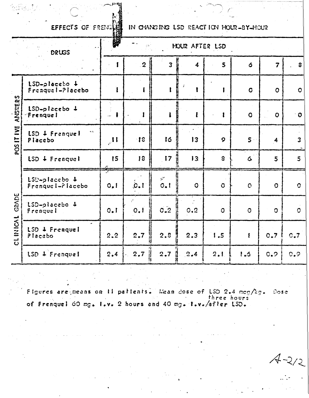EFFECTS OF FRENC

IN CHANGING LSD REACTION HOUR-BY-HOUR

| DRUGS                 |                                     | 醪<br>HOUR AFTER LSD                        |                |                                   |                                  |                |                |                         |                         |  |  |
|-----------------------|-------------------------------------|--------------------------------------------|----------------|-----------------------------------|----------------------------------|----------------|----------------|-------------------------|-------------------------|--|--|
|                       |                                     |                                            | $\overline{2}$ | $\overline{3}$                    | 4                                | 5              | ó              | $\overline{7}$          | $\mathbf{s}$            |  |  |
| ANSWERS<br>POS IT IVE | $LSD-placebo +$<br>Freaquel-Placebo | Ï                                          | 1              | $\mathbf{f}$                      | $\boldsymbol{j}$<br>$\mathbf{r}$ | ŧ              | $\overline{O}$ | $\mathbf O$             | $\bullet$               |  |  |
|                       | LSD-placebo +<br>Frenquel           | $\mathbf{f}$<br>$\mathcal{L}_{\text{max}}$ |                |                                   | ł                                | $\mathbf{r}$   | $\bullet$      | $\mathbf O$             | $\bullet$               |  |  |
|                       | $\sim$<br>LSD & Frenquel<br>Placebo | $\mathbf{H}$                               | f3             | 16                                | 13                               | $\mathbf{Q}$   | $5 -$          | $\overline{\mathbf{4}}$ | $\overline{\mathbf{3}}$ |  |  |
|                       | $LSD + Frenchquet$                  | 15                                         | 18             | 17                                | 13 <sup>°</sup>                  | $\mathbf{B}$   | 6              | 5                       | 5 <sup>5</sup>          |  |  |
| GRADE<br>CLINICAL     | 1SD-placebo +<br>Frenque l-Placebo  | $O2$ f                                     | 0.1            | $\mathscr{D}^{\prime}$<br>$0 - 1$ | $\overline{Q}$                   | $\overline{O}$ | $\mathbf C$    | $\overline{O}$          | $\mathbf{C}$            |  |  |
|                       | 1SD-placebo &<br>Frenquel           | $Q_{\bullet}I$                             | ÷.<br>0.1      | 0.2                               | 0.2                              | $\overline{O}$ | $\sigma$       | $\Omega$                | $\overline{O}$          |  |  |
|                       | LSD & Frenquel<br>Placebo           | 2.2                                        | 2.7            | 2.5                               | 2.3                              | 1.5            | $\mathbf{f}$   | 0.7                     | C <sub>•</sub> 7        |  |  |
|                       | LSD + Frenquel                      | 2.4                                        | 2.7            | 2.7                               | 2.4                              | 2.1            | 1.5            | $G_*$                   | 0.9                     |  |  |

Wean dose of  $LSD$  2.4 meg/kg.<br>three hours Figures are means on il patients. Dose of Frenquel 60 mg. I.v. 2 hours and 40 mg. I.v./after LSD.

 $\overline{z}$